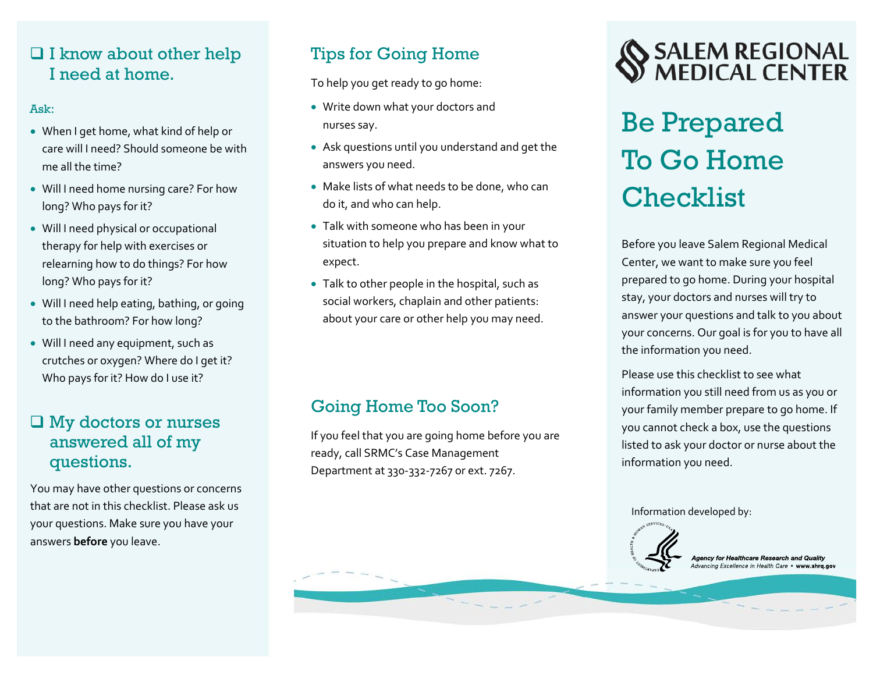## $\Box$  I know about other help I need at home.

#### Ask:

- When I get home, what kind of help or care will I need? Should someone be with me all the time?
- Will I need home nursing care? For how long? Who pays for it?
- Will I need physical or occupational therapy for help with exercises or relearning how to do things? For how long? Who pays for it?
- Will I need help eating, bathing, or going to the bathroom? For how long?
- Will I need any equipment, such as crutches or oxygen? Where do I get it? Who pays for it? How do I use it?

# □ My doctors or nurses answered all of my questions.

You may have other questions or concerns that are not in this checklist. Please ask us your questions. Make sure you have your answers **before** you leave.

# Tips for Going Home

To help you get ready to go home:

- Write down what your doctors and nurses say.
- Ask questions until you understand and get the answers you need.
- Make lists of what needs to be done, who can do it, and who can help.
- Talk with someone who has been in your situation to help you prepare and know what to expect.
- Talk to other people in the hospital, such as social workers, chaplain and other patients: about your care or other help you may need.

# Going Home Too Soon?

If you feel that you are going home before you are ready, call SRMC's Case Management Department at 330-332-7267 or ext. 7267.

# SALEM REGIONAL<br>SYMEDICAL CENTER

# Be Prepared To Go Home **Checklist**

Before you leave Salem Regional Medical Center, we want to make sure you feel prepared to go home. During your hospital stay, your doctors and nurses will try to answer your questions and talk to you about your concerns. Our goal is for you to have all the information you need.

Please use this checklist to see what information you still need from us as you or your family member prepare to go home. If you cannot check a box, use the questions listed to ask your doctor or nurse about the information you need.

Information developed by:



Agency for Healthcare Research and Quality<br>Advancing Excellence in Health Care • www.ahrq.gov